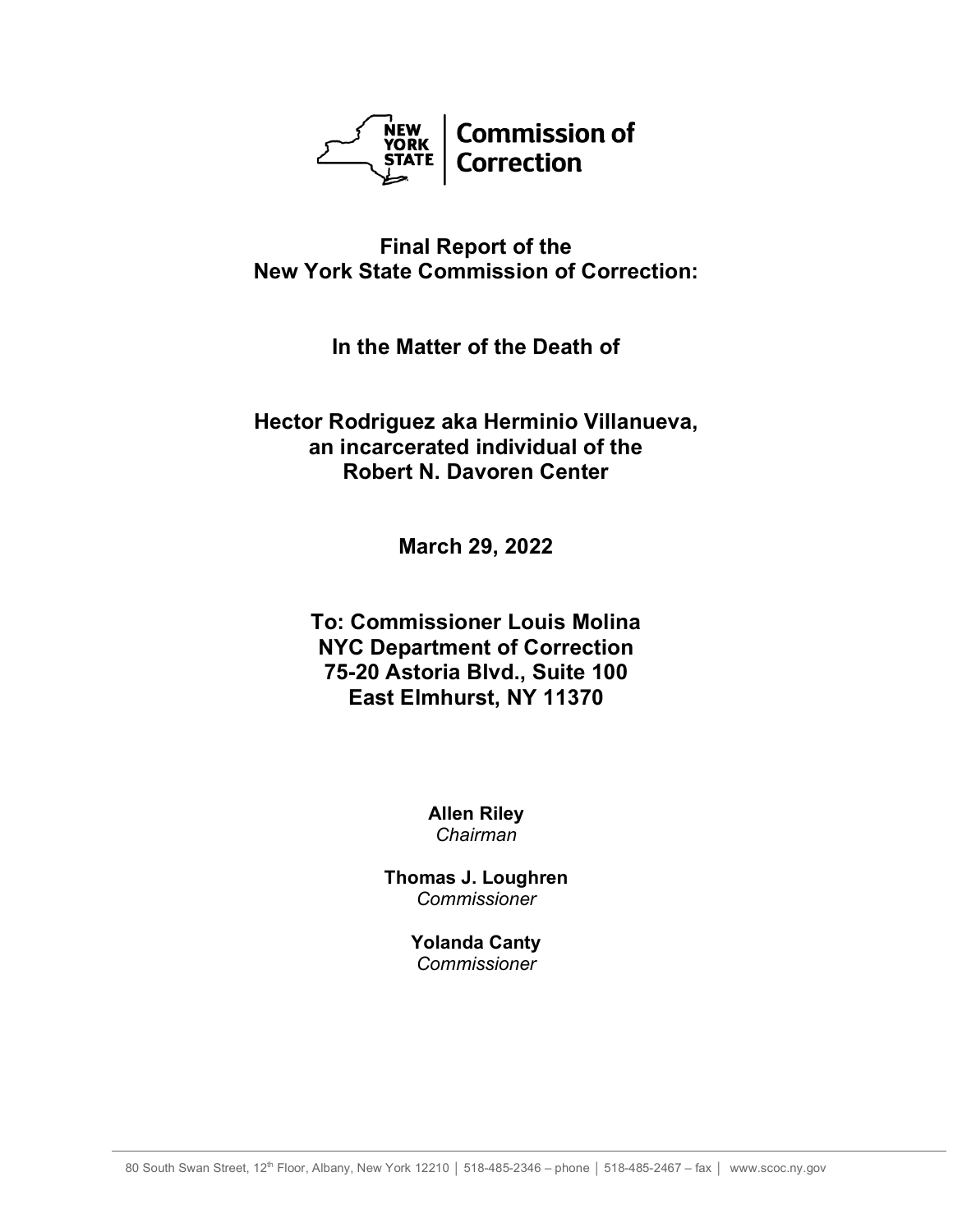

# **Final Report of the New York State Commission of Correction:**

# **In the Matter of the Death of**

# **Hector Rodriguez aka Herminio Villanueva, an incarcerated individual of the Robert N. Davoren Center**

**March 29, 2022**

# **To: Commissioner Louis Molina NYC Department of Correction 75-20 Astoria Blvd., Suite 100 East Elmhurst, NY 11370**

**Allen Riley** *Chairman*

**Thomas J. Loughren** *Commissioner*

> **Yolanda Canty** *Commissioner*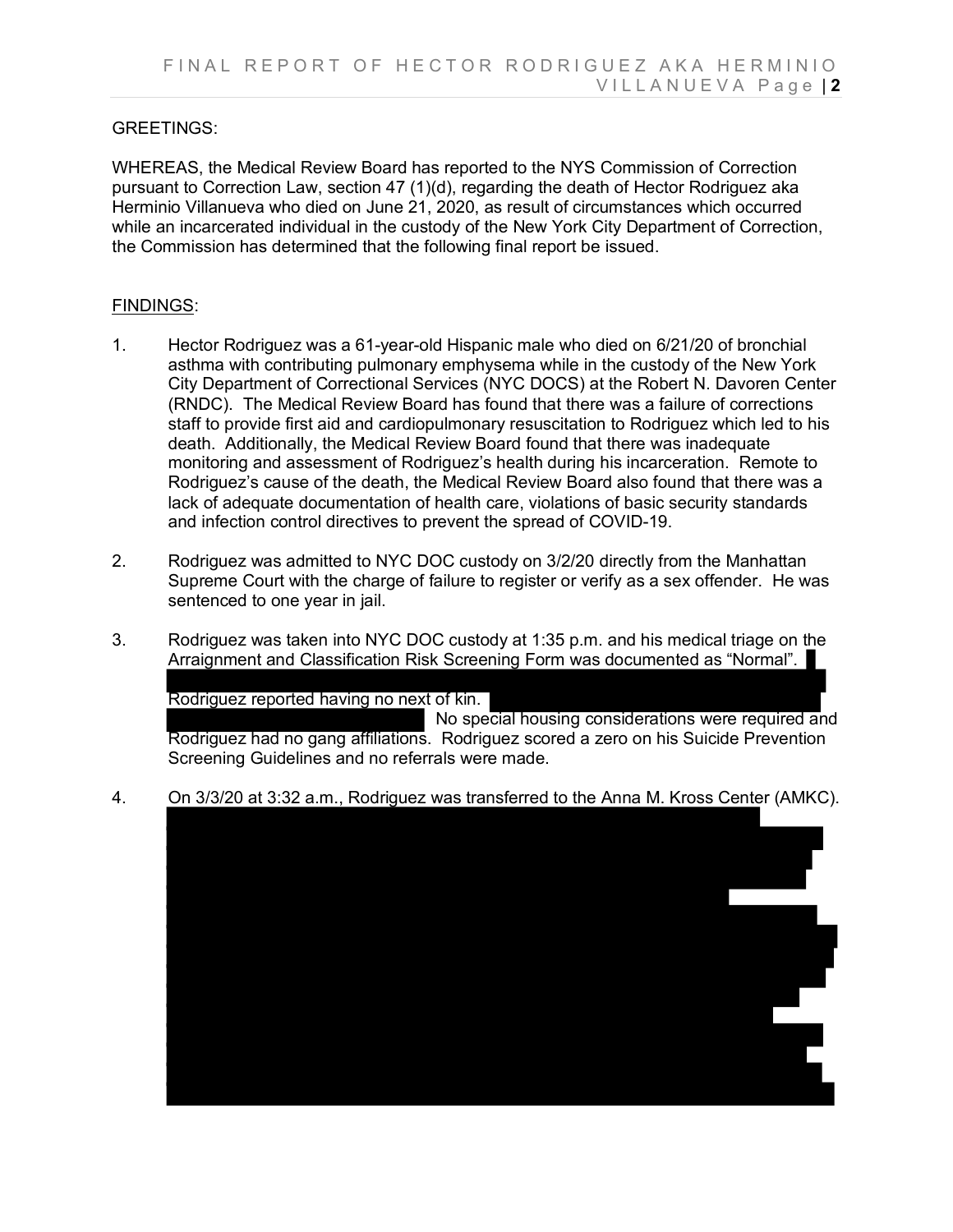## GREETINGS:

WHEREAS, the Medical Review Board has reported to the NYS Commission of Correction pursuant to Correction Law, section 47 (1)(d), regarding the death of Hector Rodriguez aka Herminio Villanueva who died on June 21, 2020, as result of circumstances which occurred while an incarcerated individual in the custody of the New York City Department of Correction, the Commission has determined that the following final report be issued.

#### FINDINGS:

- 1. Hector Rodriguez was a 61-year-old Hispanic male who died on 6/21/20 of bronchial asthma with contributing pulmonary emphysema while in the custody of the New York City Department of Correctional Services (NYC DOCS) at the Robert N. Davoren Center (RNDC). The Medical Review Board has found that there was a failure of corrections staff to provide first aid and cardiopulmonary resuscitation to Rodriguez which led to his death. Additionally, the Medical Review Board found that there was inadequate monitoring and assessment of Rodriguez's health during his incarceration. Remote to Rodriguez's cause of the death, the Medical Review Board also found that there was a lack of adequate documentation of health care, violations of basic security standards and infection control directives to prevent the spread of COVID-19.
- 2. Rodriguez was admitted to NYC DOC custody on 3/2/20 directly from the Manhattan Supreme Court with the charge of failure to register or verify as a sex offender. He was sentenced to one year in jail.
- 3. Rodriguez was taken into NYC DOC custody at 1:35 p.m. and his medical triage on the Arraignment and Classification Risk Screening Form was documented as "Normal".

Rodriguez reported having no next of kin.

 No special housing considerations were required and Rodriguez had no gang affiliations. Rodriguez scored a zero on his Suicide Prevention Screening Guidelines and no referrals were made.

4. On 3/3/20 at 3:32 a.m., Rodriguez was transferred to the Anna M. Kross Center (AMKC).

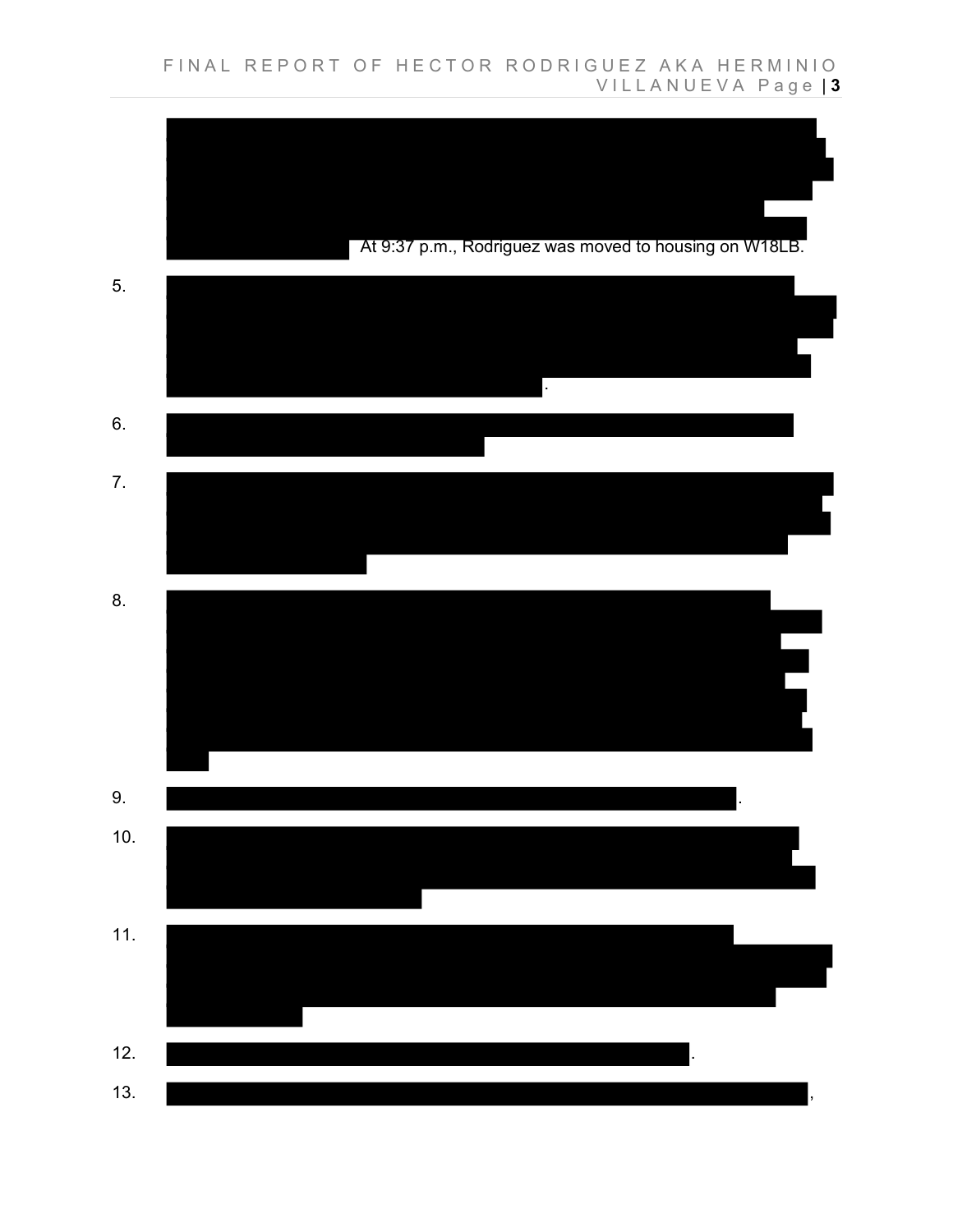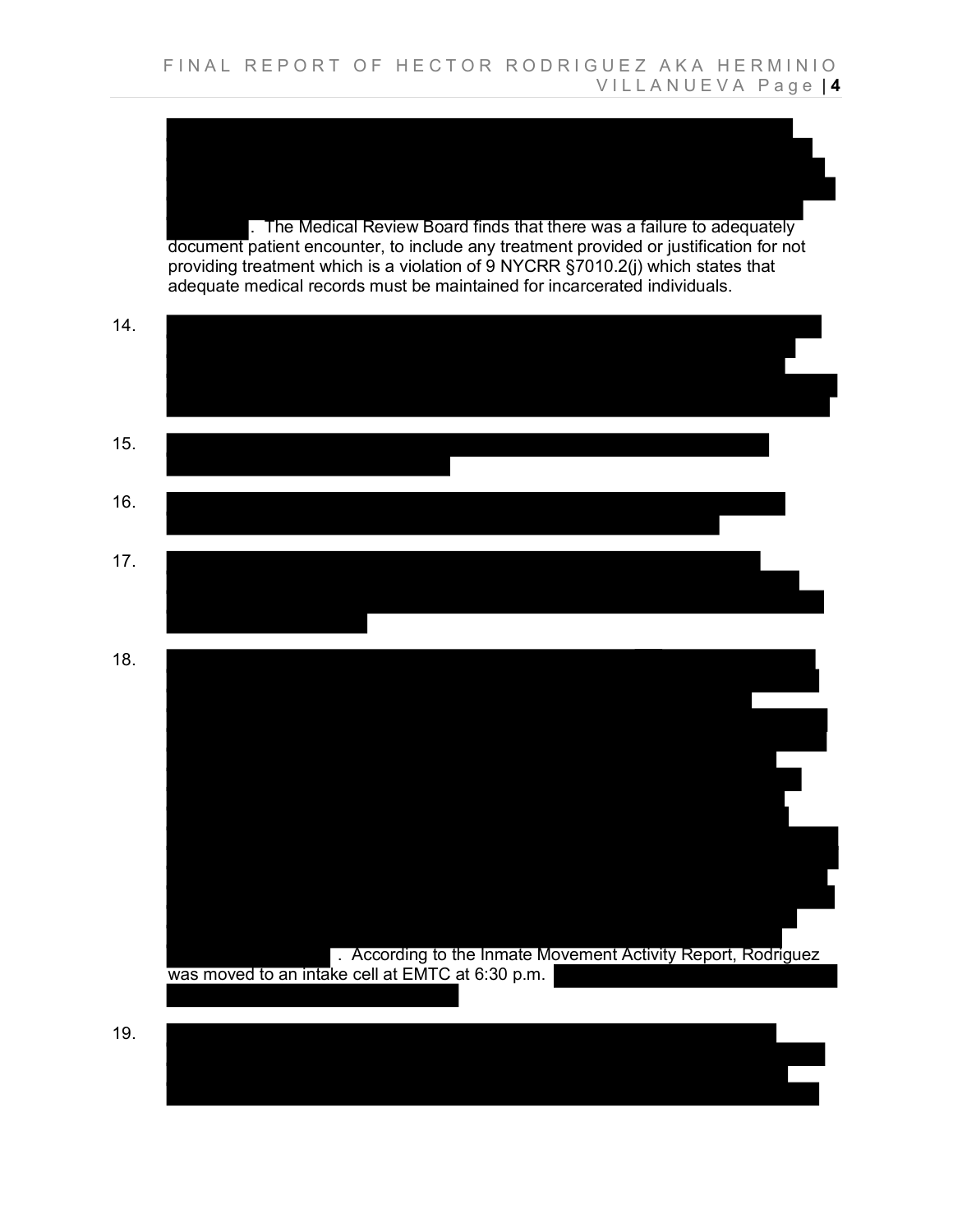. The Medical Review Board finds that there was a failure to adequately document patient encounter, to include any treatment provided or justification for not providing treatment which is a violation of 9 NYCRR §7010.2(j) which states that adequate medical records must be maintained for incarcerated individuals.

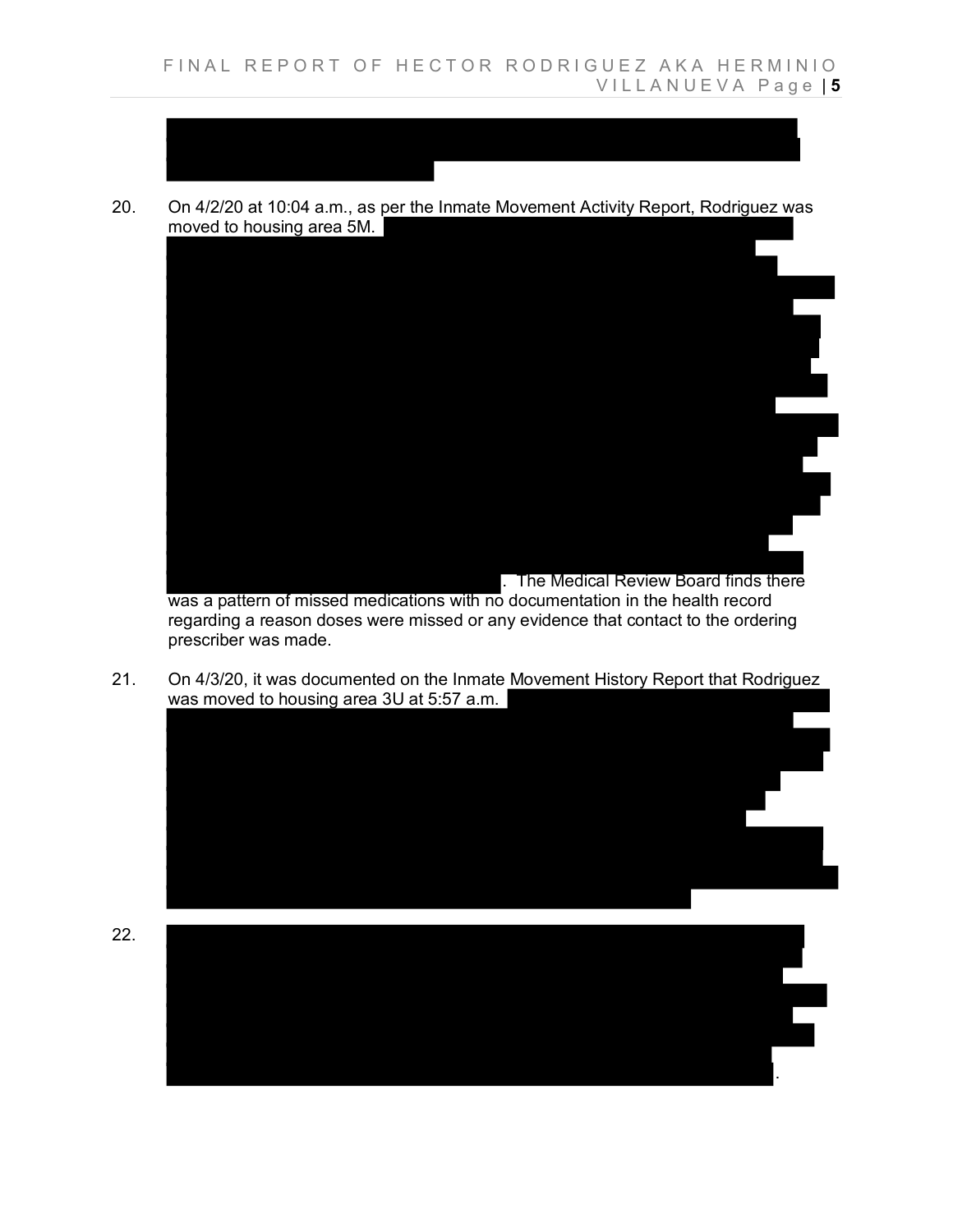20. On 4/2/20 at 10:04 a.m., as per the Inmate Movement Activity Report, Rodriguez was moved to housing area 5M.

Ι



was a pattern of missed medications with no documentation in the health record regarding a reason doses were missed or any evidence that contact to the ordering prescriber was made.

Ξ

21. On 4/3/20, it was documented on the Inmate Movement History Report that Rodriguez was moved to housing area 3U at 5:57 a.m.

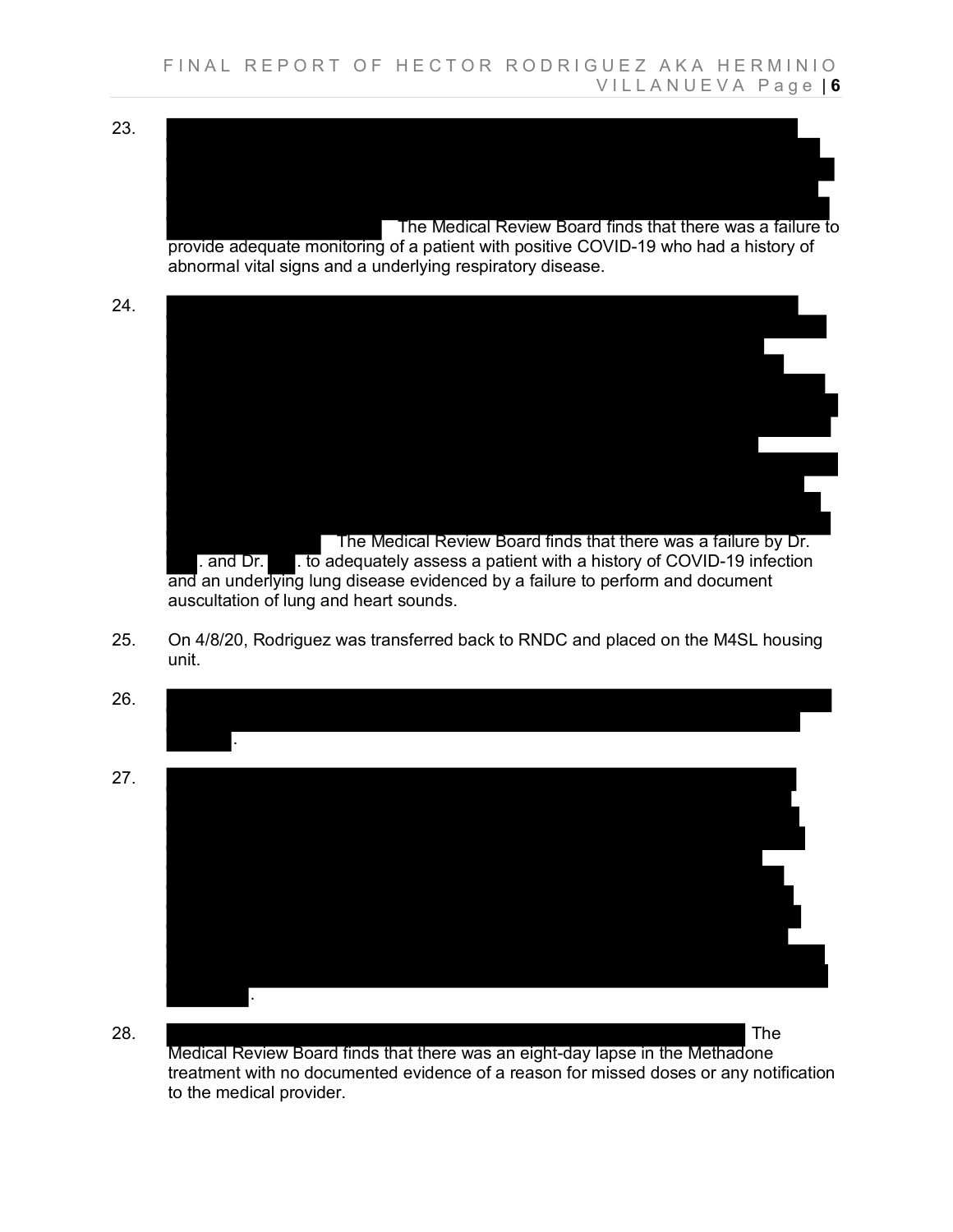23.

24.

 The Medical Review Board finds that there was a failure to provide adequate monitoring of a patient with positive COVID-19 who had a history of abnormal vital signs and a underlying respiratory disease.



 $\blacksquare$  . and Dr.  $\blacksquare$  . to adequately assess a patient with a history of COVID-19 infection and an underlying lung disease evidenced by a failure to perform and document auscultation of lung and heart sounds.

25. On 4/8/20, Rodriguez was transferred back to RNDC and placed on the M4SL housing unit.



.

28. The Medical Review Board finds that there was an eight-day lapse in the Methadone treatment with no documented evidence of a reason for missed doses or any notification to the medical provider.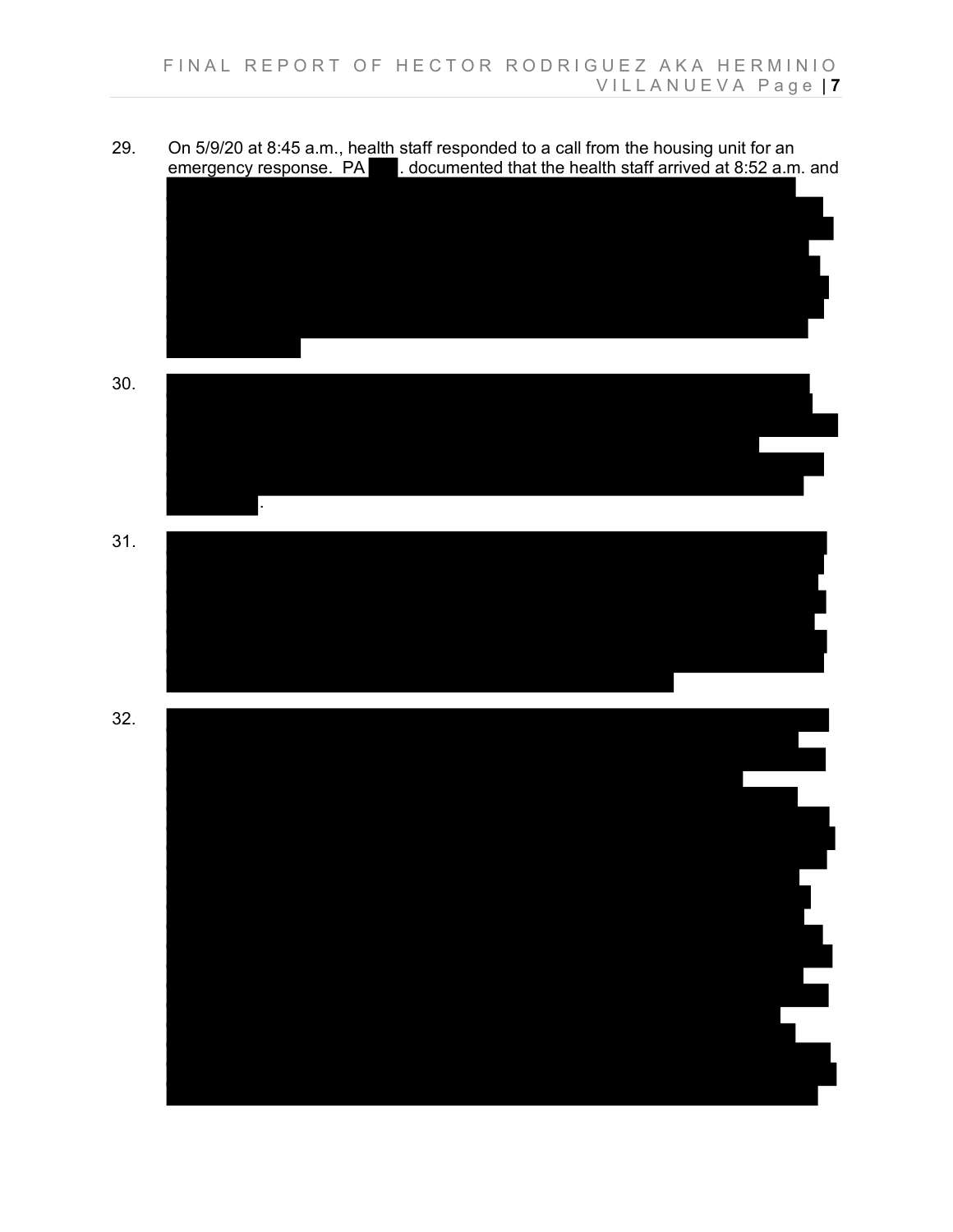

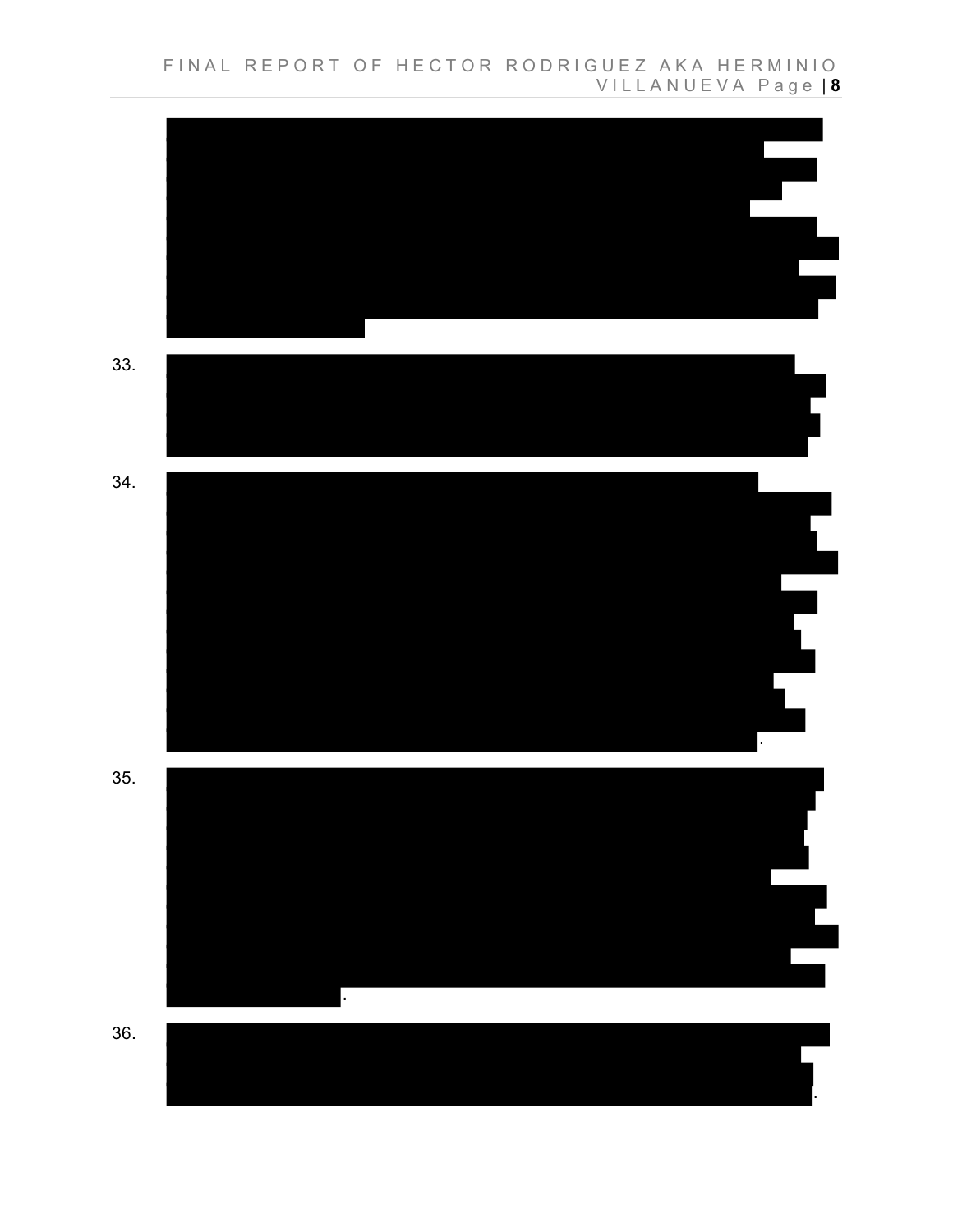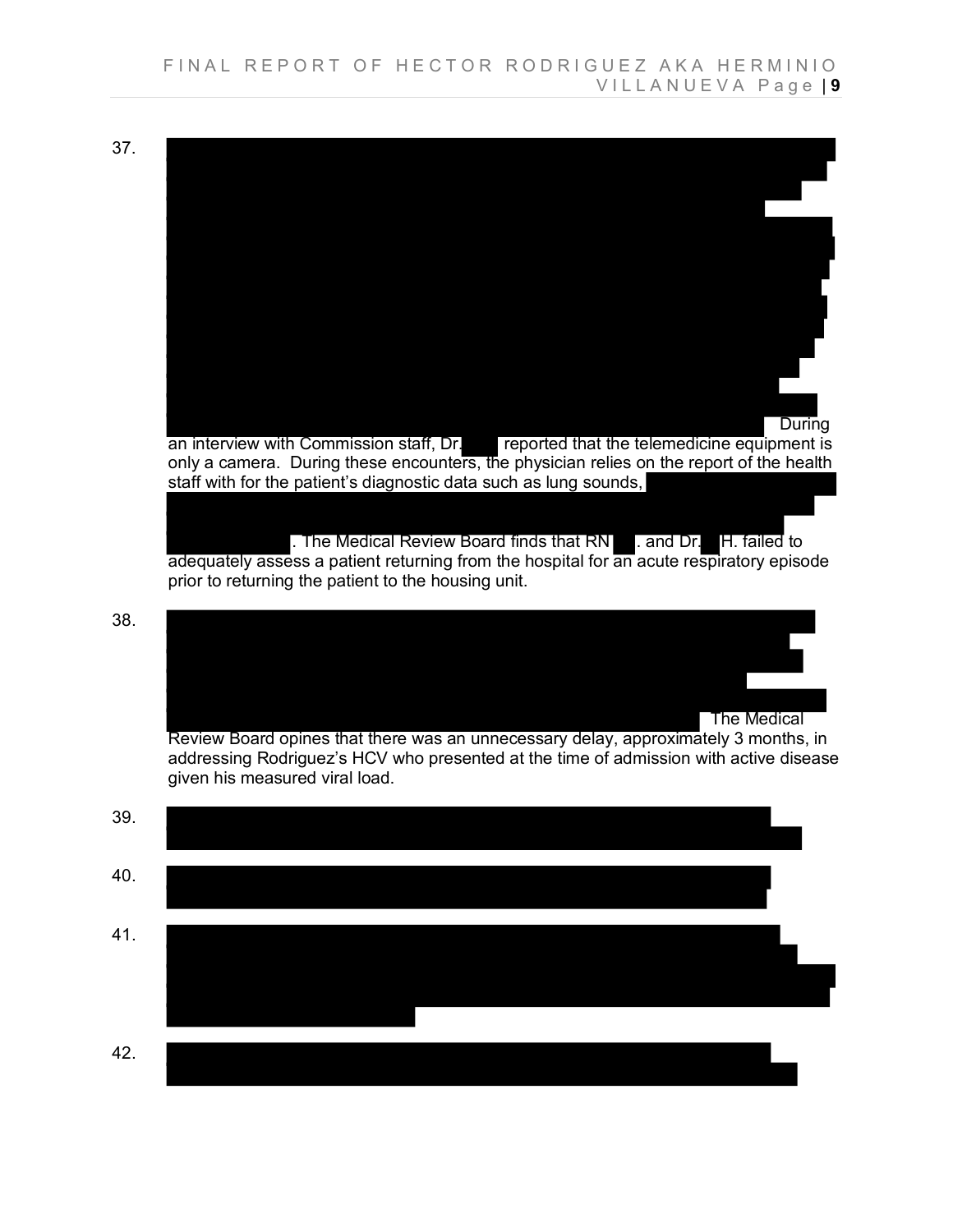37.

**During** an interview with Commission staff, Dr. Feported that the telemedicine equipment is only a camera. During these encounters, the physician relies on the report of the health staff with for the patient's diagnostic data such as lung sounds, . The Medical Review Board finds that RN . and Dr. H. failed to adequately assess a patient returning from the hospital for an acute respiratory episode prior to returning the patient to the housing unit.

38.



Review Board opines that there was an unnecessary delay, approximately 3 months, in addressing Rodriguez's HCV who presented at the time of admission with active disease given his measured viral load.

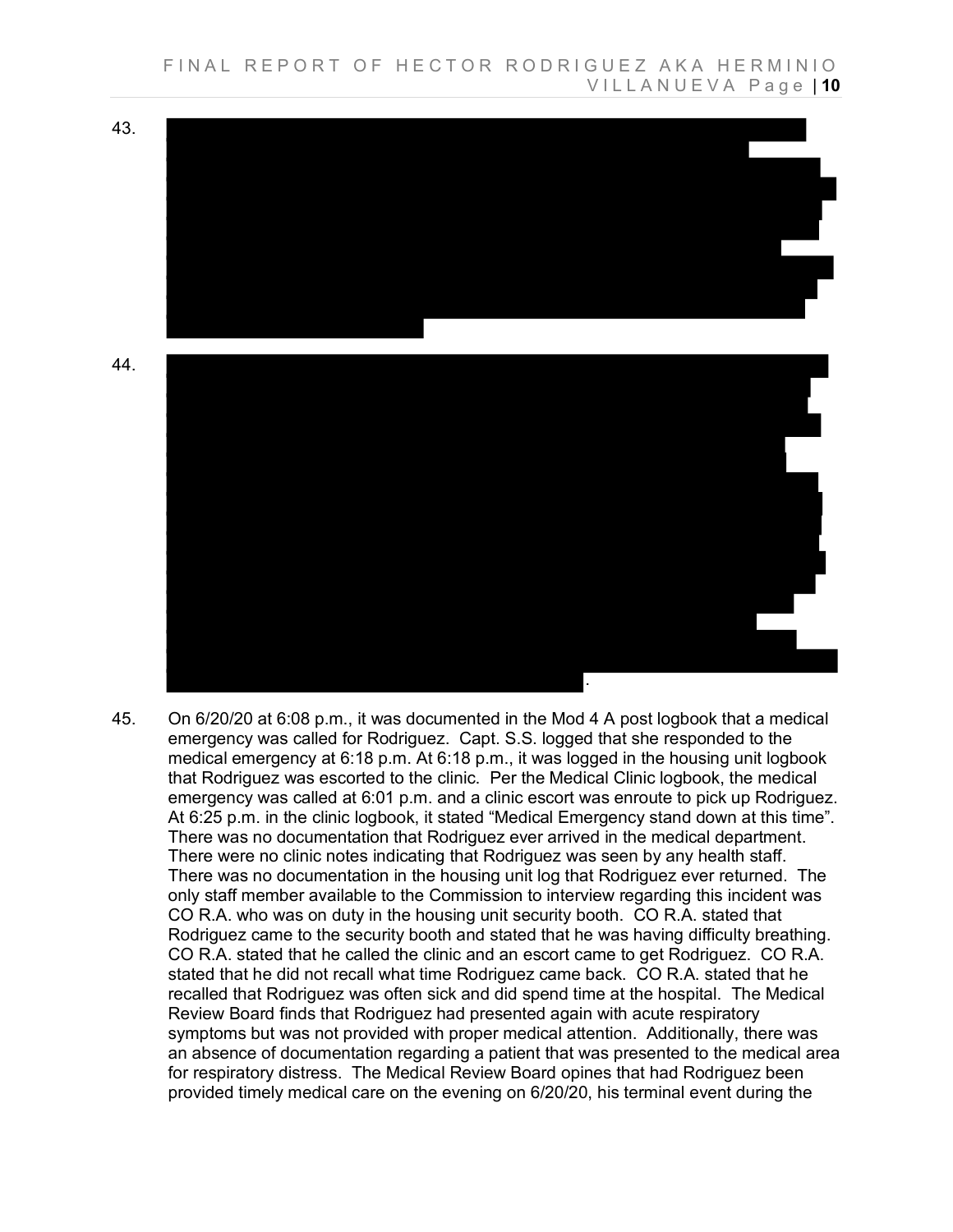

45. On 6/20/20 at 6:08 p.m., it was documented in the Mod 4 A post logbook that a medical emergency was called for Rodriguez. Capt. S.S. logged that she responded to the medical emergency at 6:18 p.m. At 6:18 p.m., it was logged in the housing unit logbook that Rodriguez was escorted to the clinic. Per the Medical Clinic logbook, the medical emergency was called at 6:01 p.m. and a clinic escort was enroute to pick up Rodriguez. At 6:25 p.m. in the clinic logbook, it stated "Medical Emergency stand down at this time". There was no documentation that Rodriguez ever arrived in the medical department. There were no clinic notes indicating that Rodriguez was seen by any health staff. There was no documentation in the housing unit log that Rodriguez ever returned. The only staff member available to the Commission to interview regarding this incident was CO R.A. who was on duty in the housing unit security booth. CO R.A. stated that Rodriguez came to the security booth and stated that he was having difficulty breathing. CO R.A. stated that he called the clinic and an escort came to get Rodriguez. CO R.A. stated that he did not recall what time Rodriguez came back. CO R.A. stated that he recalled that Rodriguez was often sick and did spend time at the hospital. The Medical Review Board finds that Rodriguez had presented again with acute respiratory symptoms but was not provided with proper medical attention. Additionally, there was an absence of documentation regarding a patient that was presented to the medical area for respiratory distress. The Medical Review Board opines that had Rodriguez been provided timely medical care on the evening on 6/20/20, his terminal event during the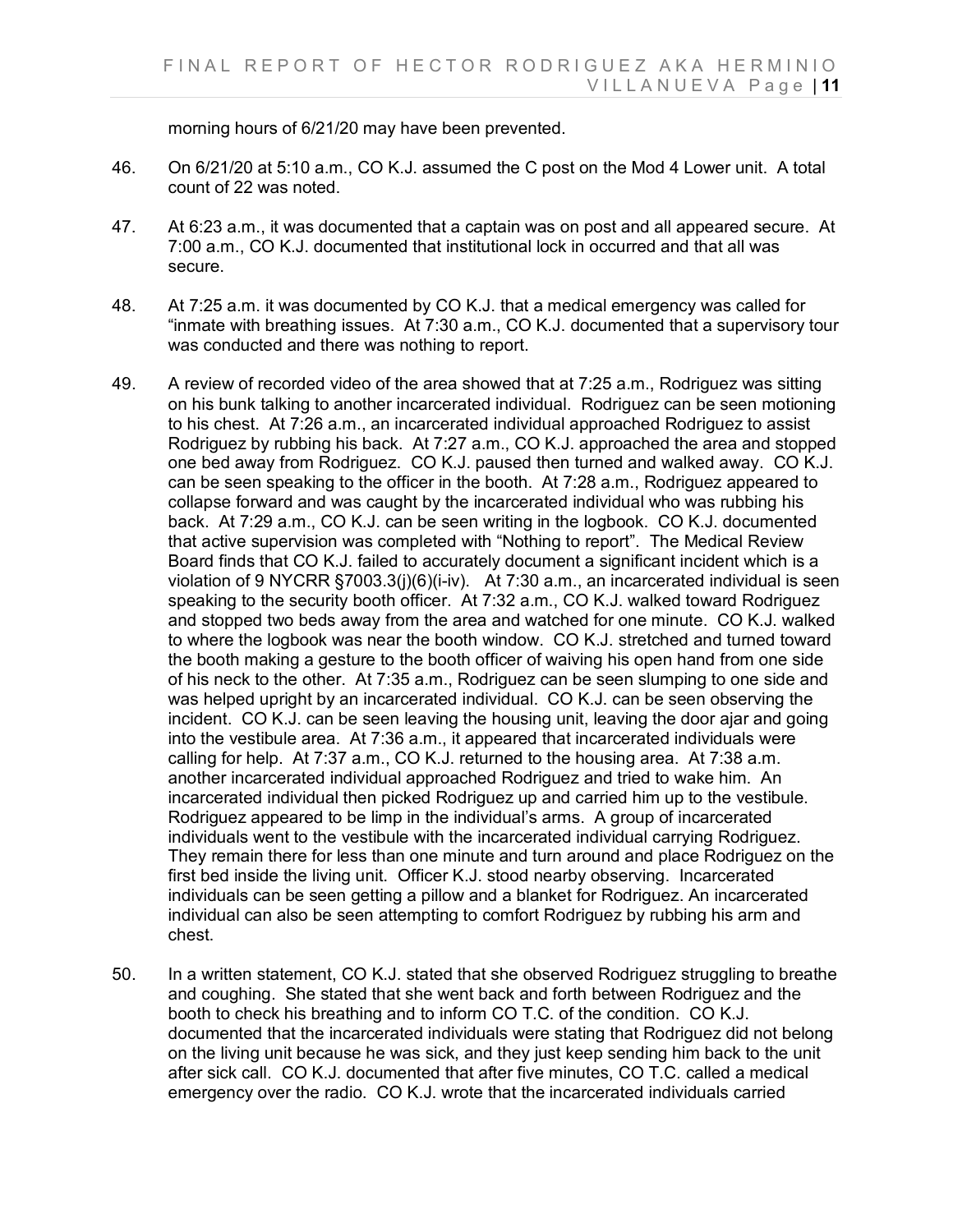morning hours of 6/21/20 may have been prevented.

- 46. On 6/21/20 at 5:10 a.m., CO K.J. assumed the C post on the Mod 4 Lower unit. A total count of 22 was noted.
- 47. At 6:23 a.m., it was documented that a captain was on post and all appeared secure. At 7:00 a.m., CO K.J. documented that institutional lock in occurred and that all was secure.
- 48. At 7:25 a.m. it was documented by CO K.J. that a medical emergency was called for "inmate with breathing issues. At 7:30 a.m., CO K.J. documented that a supervisory tour was conducted and there was nothing to report.
- 49. A review of recorded video of the area showed that at 7:25 a.m., Rodriguez was sitting on his bunk talking to another incarcerated individual. Rodriguez can be seen motioning to his chest. At 7:26 a.m., an incarcerated individual approached Rodriguez to assist Rodriguez by rubbing his back. At 7:27 a.m., CO K.J. approached the area and stopped one bed away from Rodriguez. CO K.J. paused then turned and walked away. CO K.J. can be seen speaking to the officer in the booth. At 7:28 a.m., Rodriguez appeared to collapse forward and was caught by the incarcerated individual who was rubbing his back. At 7:29 a.m., CO K.J. can be seen writing in the logbook. CO K.J. documented that active supervision was completed with "Nothing to report". The Medical Review Board finds that CO K.J. failed to accurately document a significant incident which is a violation of 9 NYCRR §7003.3(j)(6)(i-iv). At 7:30 a.m., an incarcerated individual is seen speaking to the security booth officer. At 7:32 a.m., CO K.J. walked toward Rodriguez and stopped two beds away from the area and watched for one minute. CO K.J. walked to where the logbook was near the booth window. CO K.J. stretched and turned toward the booth making a gesture to the booth officer of waiving his open hand from one side of his neck to the other. At 7:35 a.m., Rodriguez can be seen slumping to one side and was helped upright by an incarcerated individual. CO K.J. can be seen observing the incident. CO K.J. can be seen leaving the housing unit, leaving the door ajar and going into the vestibule area. At 7:36 a.m., it appeared that incarcerated individuals were calling for help. At 7:37 a.m., CO K.J. returned to the housing area. At 7:38 a.m. another incarcerated individual approached Rodriguez and tried to wake him. An incarcerated individual then picked Rodriguez up and carried him up to the vestibule. Rodriguez appeared to be limp in the individual's arms. A group of incarcerated individuals went to the vestibule with the incarcerated individual carrying Rodriguez. They remain there for less than one minute and turn around and place Rodriguez on the first bed inside the living unit. Officer K.J. stood nearby observing. Incarcerated individuals can be seen getting a pillow and a blanket for Rodriguez. An incarcerated individual can also be seen attempting to comfort Rodriguez by rubbing his arm and chest.
- 50. In a written statement, CO K.J. stated that she observed Rodriguez struggling to breathe and coughing. She stated that she went back and forth between Rodriguez and the booth to check his breathing and to inform CO T.C. of the condition. CO K.J. documented that the incarcerated individuals were stating that Rodriguez did not belong on the living unit because he was sick, and they just keep sending him back to the unit after sick call. CO K.J. documented that after five minutes, CO T.C. called a medical emergency over the radio. CO K.J. wrote that the incarcerated individuals carried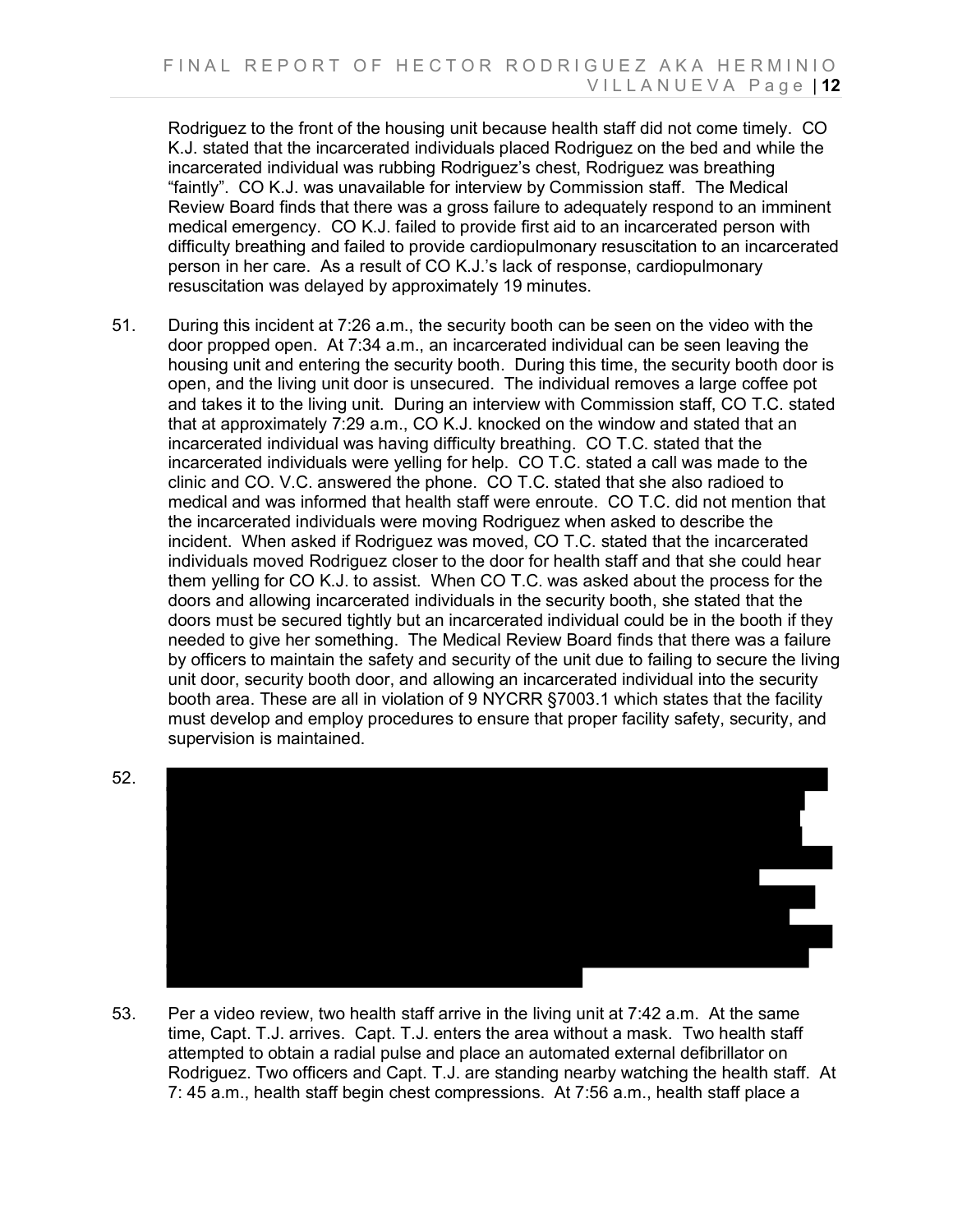Rodriguez to the front of the housing unit because health staff did not come timely. CO K.J. stated that the incarcerated individuals placed Rodriguez on the bed and while the incarcerated individual was rubbing Rodriguez's chest, Rodriguez was breathing "faintly". CO K.J. was unavailable for interview by Commission staff. The Medical Review Board finds that there was a gross failure to adequately respond to an imminent medical emergency. CO K.J. failed to provide first aid to an incarcerated person with difficulty breathing and failed to provide cardiopulmonary resuscitation to an incarcerated person in her care. As a result of CO K.J.'s lack of response, cardiopulmonary resuscitation was delayed by approximately 19 minutes.

51. During this incident at 7:26 a.m., the security booth can be seen on the video with the door propped open. At 7:34 a.m., an incarcerated individual can be seen leaving the housing unit and entering the security booth. During this time, the security booth door is open, and the living unit door is unsecured. The individual removes a large coffee pot and takes it to the living unit. During an interview with Commission staff, CO T.C. stated that at approximately 7:29 a.m., CO K.J. knocked on the window and stated that an incarcerated individual was having difficulty breathing. CO T.C. stated that the incarcerated individuals were yelling for help. CO T.C. stated a call was made to the clinic and CO. V.C. answered the phone. CO T.C. stated that she also radioed to medical and was informed that health staff were enroute. CO T.C. did not mention that the incarcerated individuals were moving Rodriguez when asked to describe the incident. When asked if Rodriguez was moved, CO T.C. stated that the incarcerated individuals moved Rodriguez closer to the door for health staff and that she could hear them yelling for CO K.J. to assist. When CO T.C. was asked about the process for the doors and allowing incarcerated individuals in the security booth, she stated that the doors must be secured tightly but an incarcerated individual could be in the booth if they needed to give her something. The Medical Review Board finds that there was a failure by officers to maintain the safety and security of the unit due to failing to secure the living unit door, security booth door, and allowing an incarcerated individual into the security booth area. These are all in violation of 9 NYCRR §7003.1 which states that the facility must develop and employ procedures to ensure that proper facility safety, security, and supervision is maintained.





53. Per a video review, two health staff arrive in the living unit at 7:42 a.m. At the same time, Capt. T.J. arrives. Capt. T.J. enters the area without a mask. Two health staff attempted to obtain a radial pulse and place an automated external defibrillator on Rodriguez. Two officers and Capt. T.J. are standing nearby watching the health staff. At 7: 45 a.m., health staff begin chest compressions. At 7:56 a.m., health staff place a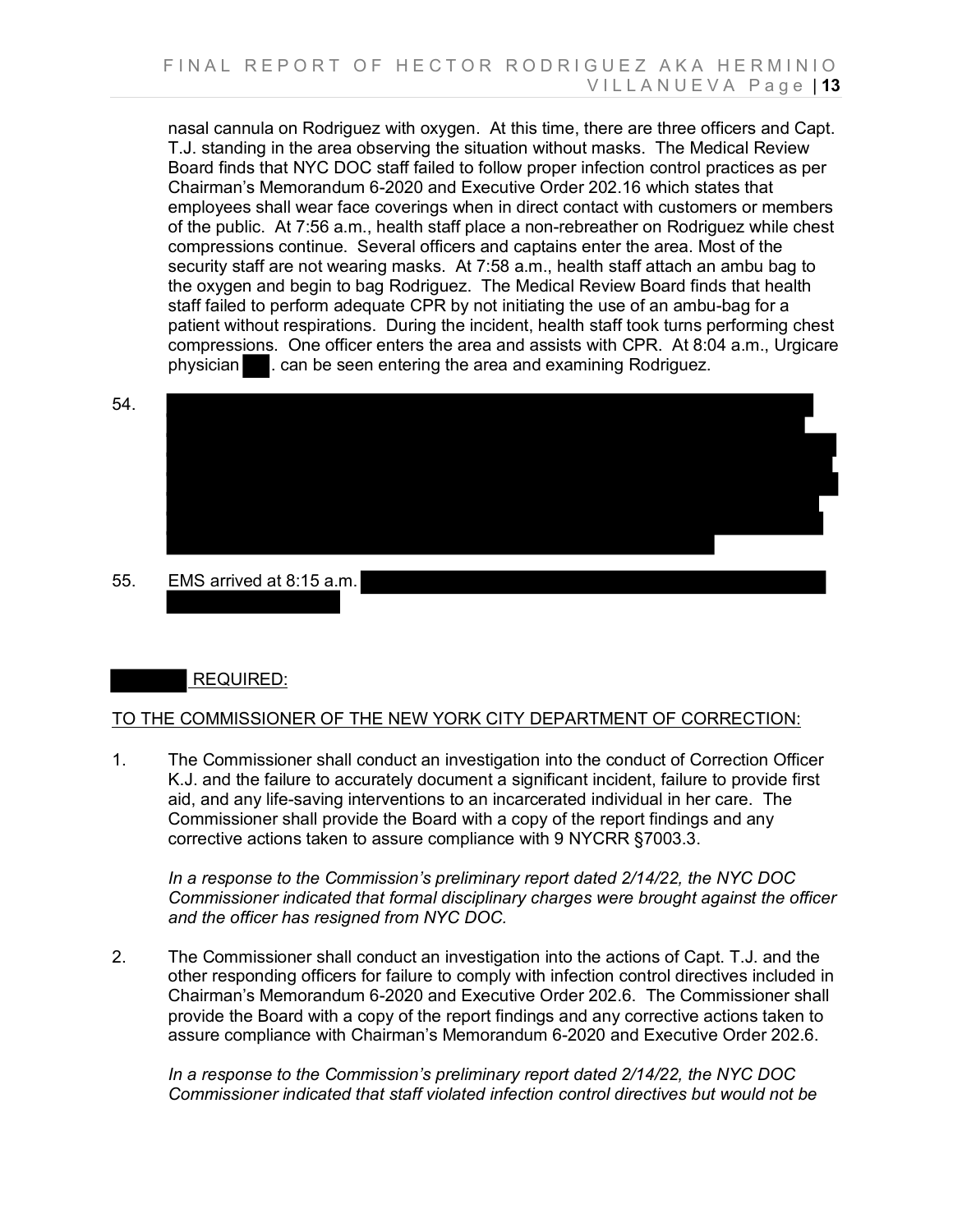nasal cannula on Rodriguez with oxygen. At this time, there are three officers and Capt. T.J. standing in the area observing the situation without masks. The Medical Review Board finds that NYC DOC staff failed to follow proper infection control practices as per Chairman's Memorandum 6-2020 and Executive Order 202.16 which states that employees shall wear face coverings when in direct contact with customers or members of the public. At 7:56 a.m., health staff place a non-rebreather on Rodriguez while chest compressions continue. Several officers and captains enter the area. Most of the security staff are not wearing masks. At 7:58 a.m., health staff attach an ambu bag to the oxygen and begin to bag Rodriguez. The Medical Review Board finds that health staff failed to perform adequate CPR by not initiating the use of an ambu-bag for a patient without respirations. During the incident, health staff took turns performing chest compressions. One officer enters the area and assists with CPR. At 8:04 a.m., Urgicare physician . can be seen entering the area and examining Rodriguez.

54.



55. EMS arrived at 8:15 a.m.



### TO THE COMMISSIONER OF THE NEW YORK CITY DEPARTMENT OF CORRECTION:

1. The Commissioner shall conduct an investigation into the conduct of Correction Officer K.J. and the failure to accurately document a significant incident, failure to provide first aid, and any life-saving interventions to an incarcerated individual in her care. The Commissioner shall provide the Board with a copy of the report findings and any corrective actions taken to assure compliance with 9 NYCRR §7003.3.

*In a response to the Commission's preliminary report dated 2/14/22, the NYC DOC Commissioner indicated that formal disciplinary charges were brought against the officer and the officer has resigned from NYC DOC.*

2. The Commissioner shall conduct an investigation into the actions of Capt. T.J. and the other responding officers for failure to comply with infection control directives included in Chairman's Memorandum 6-2020 and Executive Order 202.6. The Commissioner shall provide the Board with a copy of the report findings and any corrective actions taken to assure compliance with Chairman's Memorandum 6-2020 and Executive Order 202.6.

*In a response to the Commission's preliminary report dated 2/14/22, the NYC DOC Commissioner indicated that staff violated infection control directives but would not be*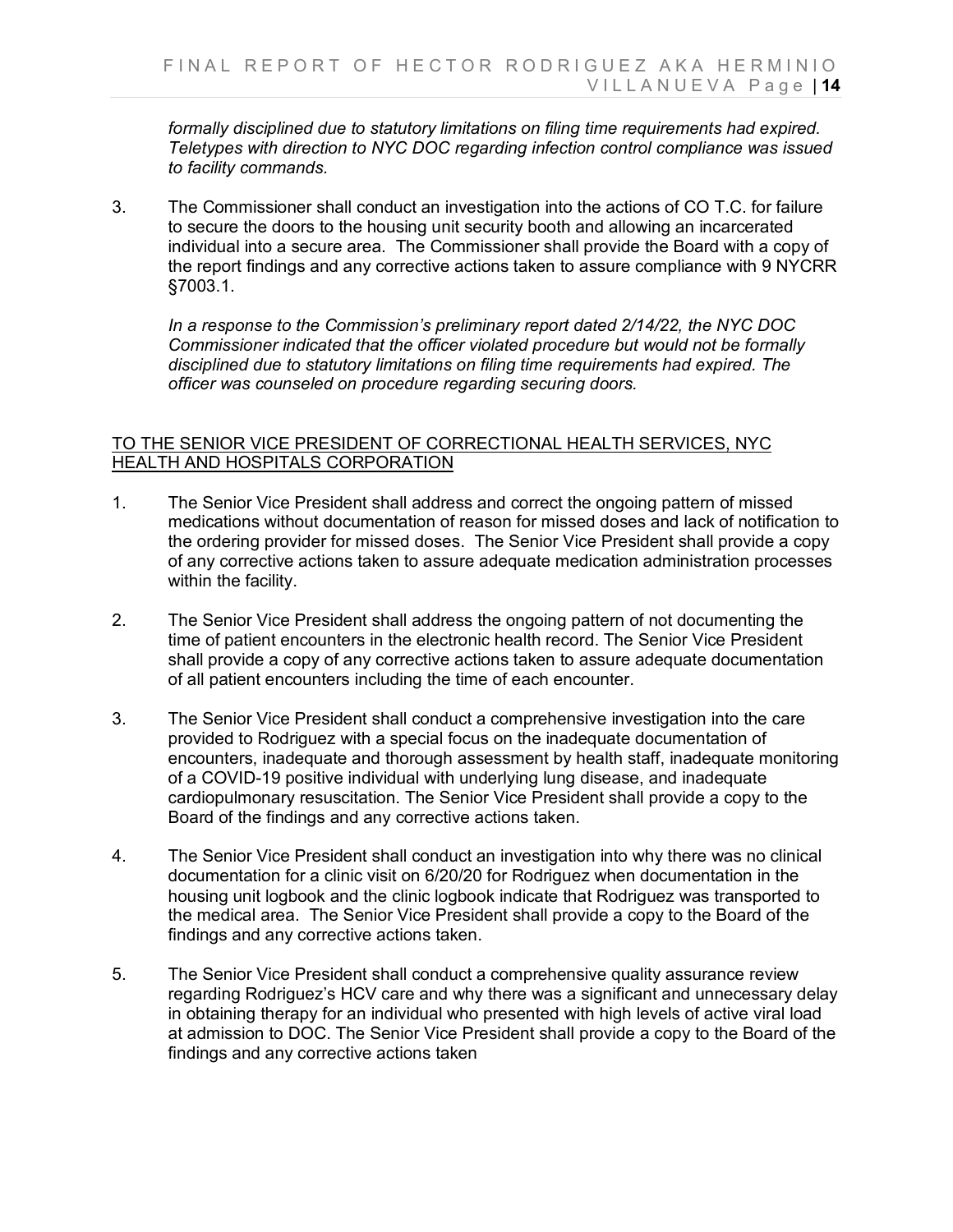*formally disciplined due to statutory limitations on filing time requirements had expired. Teletypes with direction to NYC DOC regarding infection control compliance was issued to facility commands.*

3. The Commissioner shall conduct an investigation into the actions of CO T.C. for failure to secure the doors to the housing unit security booth and allowing an incarcerated individual into a secure area. The Commissioner shall provide the Board with a copy of the report findings and any corrective actions taken to assure compliance with 9 NYCRR §7003.1.

*In a response to the Commission's preliminary report dated 2/14/22, the NYC DOC Commissioner indicated that the officer violated procedure but would not be formally disciplined due to statutory limitations on filing time requirements had expired. The officer was counseled on procedure regarding securing doors.*

### TO THE SENIOR VICE PRESIDENT OF CORRECTIONAL HEALTH SERVICES, NYC HEALTH AND HOSPITALS CORPORATION

- 1. The Senior Vice President shall address and correct the ongoing pattern of missed medications without documentation of reason for missed doses and lack of notification to the ordering provider for missed doses. The Senior Vice President shall provide a copy of any corrective actions taken to assure adequate medication administration processes within the facility.
- 2. The Senior Vice President shall address the ongoing pattern of not documenting the time of patient encounters in the electronic health record. The Senior Vice President shall provide a copy of any corrective actions taken to assure adequate documentation of all patient encounters including the time of each encounter.
- 3. The Senior Vice President shall conduct a comprehensive investigation into the care provided to Rodriguez with a special focus on the inadequate documentation of encounters, inadequate and thorough assessment by health staff, inadequate monitoring of a COVID-19 positive individual with underlying lung disease, and inadequate cardiopulmonary resuscitation. The Senior Vice President shall provide a copy to the Board of the findings and any corrective actions taken.
- 4. The Senior Vice President shall conduct an investigation into why there was no clinical documentation for a clinic visit on 6/20/20 for Rodriguez when documentation in the housing unit logbook and the clinic logbook indicate that Rodriguez was transported to the medical area. The Senior Vice President shall provide a copy to the Board of the findings and any corrective actions taken.
- 5. The Senior Vice President shall conduct a comprehensive quality assurance review regarding Rodriguez's HCV care and why there was a significant and unnecessary delay in obtaining therapy for an individual who presented with high levels of active viral load at admission to DOC. The Senior Vice President shall provide a copy to the Board of the findings and any corrective actions taken